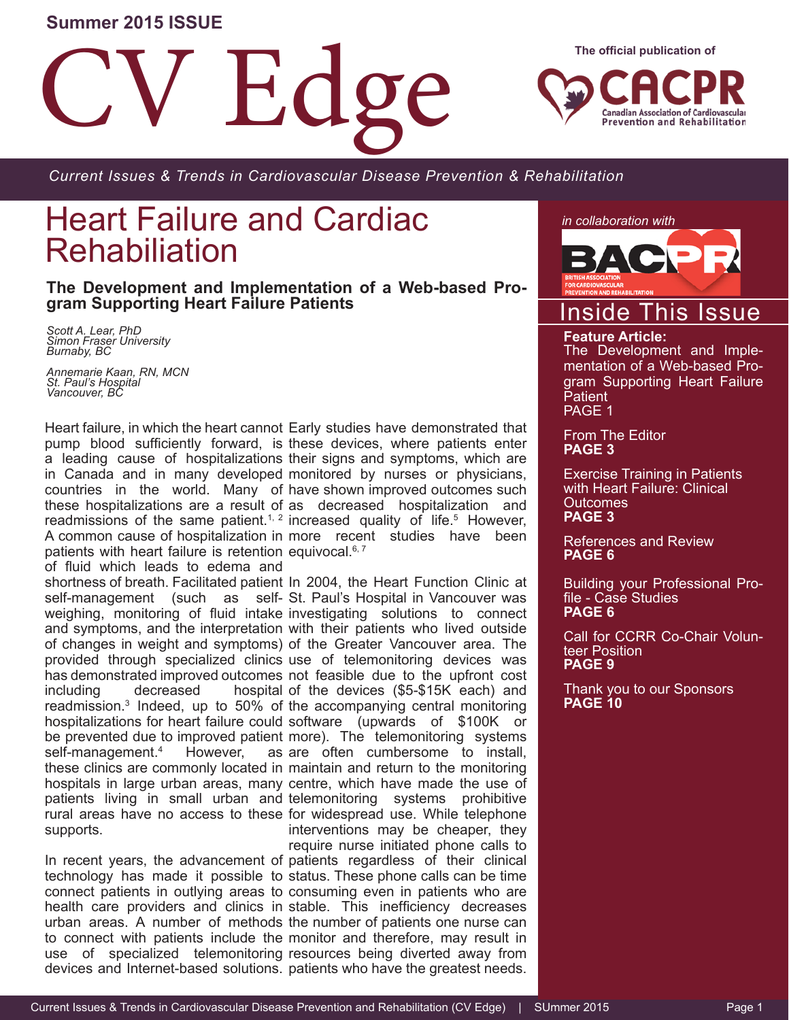#### **Summer 2015 ISSUE**

**Ed** 

**The official publication of**

**Canadian Association of Cardiovascular Prevention and Rehabilitation** 

*Current Issues & Trends in Cardiovascular Disease Prevention & Rehabilitation*

## Heart Failure and Cardiac Rehabiliation

**The Development and Implementation of a Web-based Pro- gram Supporting Heart Failure Patients** 

 *Scott A. Lear, PhD Simon Fraser University Burnaby, BC*

*Annemarie Kaan, RN, MCN St. Paul's Hospital Vancouver, BC*

patients with heart failure is retention equivocal.<sup>6,7</sup> of fluid which leads to edema and including decreased self-management.4 However, supports.

devices and Internet-based solutions. patients who have the greatest needs.

Heart failure, in which the heart cannot Early studies have demonstrated that pump blood sufficiently forward, is these devices, where patients enter a leading cause of hospitalizations their signs and symptoms, which are in Canada and in many developed monitored by nurses or physicians, countries in the world. Many of have shown improved outcomes such these hospitalizations are a result of as decreased hospitalization and readmissions of the same patient.<sup>1, 2</sup> increased quality of life.<sup>5</sup> However, A common cause of hospitalization in more recent studies have been

shortness of breath. Facilitated patient In 2004, the Heart Function Clinic at self-management (such as self-St. Paul's Hospital in Vancouver was weighing, monitoring of fluid intake investigating solutions to connect and symptoms, and the interpretation with their patients who lived outside of changes in weight and symptoms) of the Greater Vancouver area. The provided through specialized clinics use of telemonitoring devices was has demonstrated improved outcomes not feasible due to the upfront cost readmission.<sup>3</sup> Indeed, up to 50% of the accompanying central monitoring hospitalizations for heart failure could software (upwards of \$100K or be prevented due to improved patient more). The telemonitoring systems these clinics are commonly located in maintain and return to the monitoring hospitals in large urban areas, many centre, which have made the use of patients living in small urban and telemonitoring systems prohibitive rural areas have no access to these for widespread use. While telephone In recent years, the advancement of patients regardless of their clinical technology has made it possible to status. These phone calls can be time connect patients in outlying areas to consuming even in patients who are health care providers and clinics in stable. This inefficiency decreases urban areas. A number of methods the number of patients one nurse can to connect with patients include the monitor and therefore, may result in use of specialized telemonitoring resources being diverted away from hospital of the devices (\$5-\$15K each) and as are often cumbersome to install, interventions may be cheaper, they require nurse initiated phone calls to

*in collaboration with*



## Inside This Issue

#### **Feature Article:**

The Development and Implementation of a Web-based Program Supporting Heart Failure **Patient** PAGE 1

From The Editor **PAGE 3**

Exercise Training in Patients with Heart Failure: Clinical **Outcomes PAGE 3**

References and Review **PAGE 6**

Building your Professional Pro- file - Case Studies **PAGE 6**

Call for CCRR Co-Chair Volunteer Position **PAGE 9**

Thank you to our Sponsors **PAGE 10**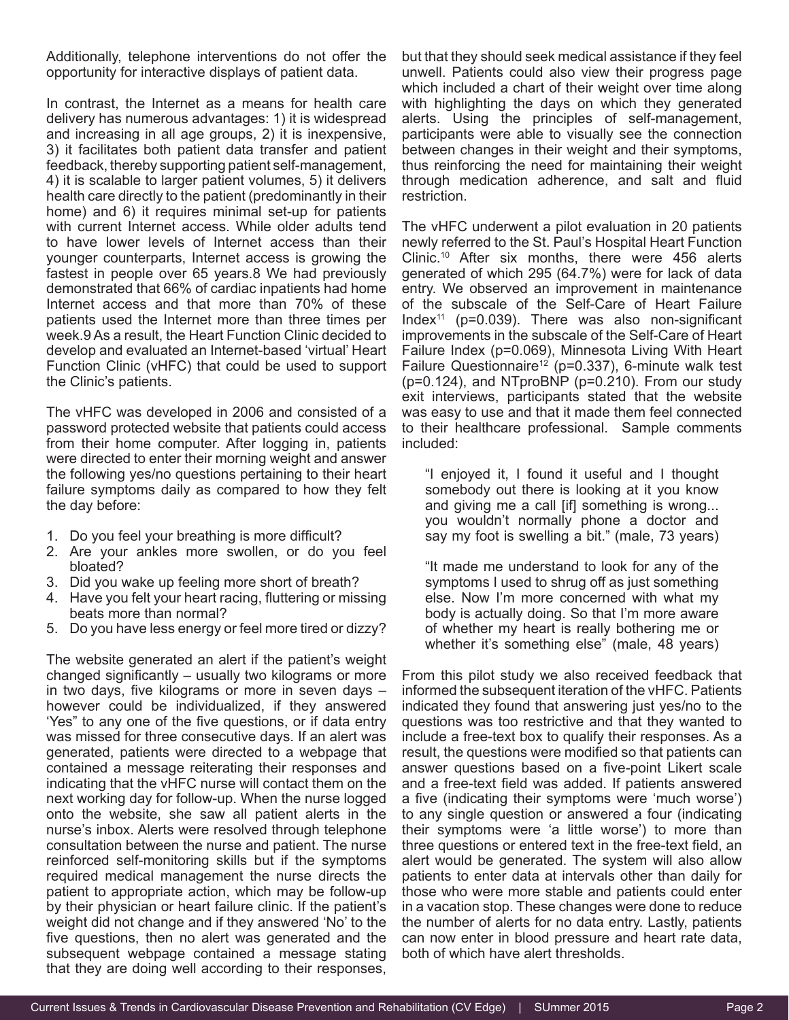Additionally, telephone interventions do not offer the opportunity for interactive displays of patient data.

In contrast, the Internet as a means for health care delivery has numerous advantages: 1) it is widespread and increasing in all age groups, 2) it is inexpensive, 3) it facilitates both patient data transfer and patient feedback, thereby supporting patient self-management, 4) it is scalable to larger patient volumes, 5) it delivers health care directly to the patient (predominantly in their home) and 6) it requires minimal set-up for patients with current Internet access. While older adults tend to have lower levels of Internet access than their younger counterparts, Internet access is growing the fastest in people over 65 years.8 We had previously demonstrated that 66% of cardiac inpatients had home Internet access and that more than 70% of these patients used the Internet more than three times per week.9 As a result, the Heart Function Clinic decided to develop and evaluated an Internet-based 'virtual' Heart Function Clinic (vHFC) that could be used to support the Clinic's patients.

The vHFC was developed in 2006 and consisted of a password protected website that patients could access from their home computer. After logging in, patients were directed to enter their morning weight and answer the following yes/no questions pertaining to their heart failure symptoms daily as compared to how they felt the day before:

- 1. Do you feel your breathing is more difficult?
- 2. Are your ankles more swollen, or do you feel bloated?
- 3. Did you wake up feeling more short of breath?
- 4. Have you felt your heart racing, fluttering or missing beats more than normal?
- 5. Do you have less energy or feel more tired or dizzy?

The website generated an alert if the patient's weight changed significantly – usually two kilograms or more in two days, five kilograms or more in seven days – however could be individualized, if they answered 'Yes" to any one of the five questions, or if data entry was missed for three consecutive days. If an alert was generated, patients were directed to a webpage that contained a message reiterating their responses and indicating that the vHFC nurse will contact them on the next working day for follow-up. When the nurse logged onto the website, she saw all patient alerts in the nurse's inbox. Alerts were resolved through telephone consultation between the nurse and patient. The nurse reinforced self-monitoring skills but if the symptoms required medical management the nurse directs the patient to appropriate action, which may be follow-up by their physician or heart failure clinic. If the patient's weight did not change and if they answered 'No' to the five questions, then no alert was generated and the subsequent webpage contained a message stating that they are doing well according to their responses,

but that they should seek medical assistance if they feel unwell. Patients could also view their progress page which included a chart of their weight over time along with highlighting the days on which they generated alerts. Using the principles of self-management, participants were able to visually see the connection between changes in their weight and their symptoms, thus reinforcing the need for maintaining their weight through medication adherence, and salt and fluid restriction.

The vHFC underwent a pilot evaluation in 20 patients newly referred to the St. Paul's Hospital Heart Function Clinic.10 After six months, there were 456 alerts generated of which 295 (64.7%) were for lack of data entry. We observed an improvement in maintenance of the subscale of the Self-Care of Heart Failure Index<sup>11</sup> ( $p=0.039$ ). There was also non-significant improvements in the subscale of the Self-Care of Heart Failure Index (p=0.069), Minnesota Living With Heart Failure Questionnaire<sup>12</sup> (p=0.337), 6-minute walk test (p=0.124), and NTproBNP (p=0.210). From our study exit interviews, participants stated that the website was easy to use and that it made them feel connected to their healthcare professional. Sample comments included:

"I enjoyed it, I found it useful and I thought somebody out there is looking at it you know and giving me a call [if] something is wrong... you wouldn't normally phone a doctor and say my foot is swelling a bit." (male, 73 years)

"It made me understand to look for any of the symptoms I used to shrug off as just something else. Now I'm more concerned with what my body is actually doing. So that I'm more aware of whether my heart is really bothering me or whether it's something else" (male, 48 years)

From this pilot study we also received feedback that informed the subsequent iteration of the vHFC. Patients indicated they found that answering just yes/no to the questions was too restrictive and that they wanted to include a free-text box to qualify their responses. As a result, the questions were modified so that patients can answer questions based on a five-point Likert scale and a free-text field was added. If patients answered a five (indicating their symptoms were 'much worse') to any single question or answered a four (indicating their symptoms were 'a little worse') to more than three questions or entered text in the free-text field, an alert would be generated. The system will also allow patients to enter data at intervals other than daily for those who were more stable and patients could enter in a vacation stop. These changes were done to reduce the number of alerts for no data entry. Lastly, patients can now enter in blood pressure and heart rate data, both of which have alert thresholds.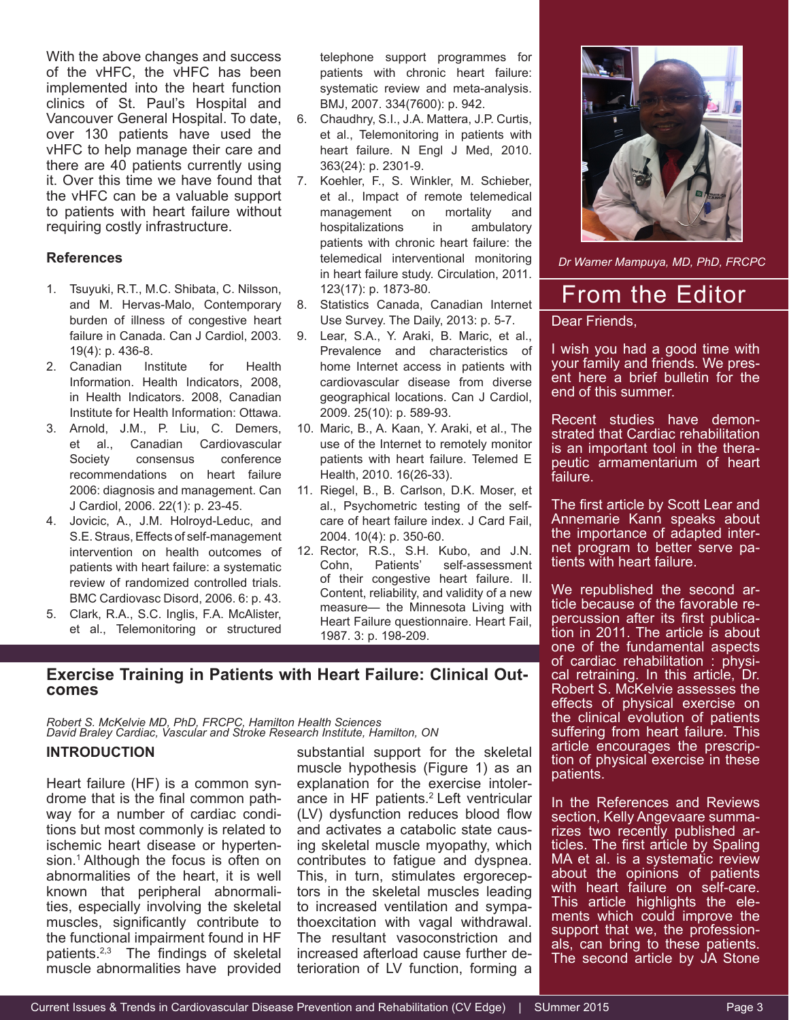With the above changes and success of the vHFC, the vHFC has been implemented into the heart function clinics of St. Paul's Hospital and Vancouver General Hospital. To date, over 130 patients have used the vHFC to help manage their care and there are 40 patients currently using it. Over this time we have found that the vHFC can be a valuable support to patients with heart failure without requiring costly infrastructure.

#### **References**

- 1. Tsuyuki, R.T., M.C. Shibata, C. Nilsson, and M. Hervas-Malo, Contemporary burden of illness of congestive heart failure in Canada. Can J Cardiol, 2003. 19(4): p. 436-8.
- 2. Canadian Institute for Health Information. Health Indicators, 2008, in Health Indicators. 2008, Canadian Institute for Health Information: Ottawa.
- 3. Arnold, J.M., P. Liu, C. Demers, et al., Canadian Cardiovascular Society consensus conference recommendations on heart failure 2006: diagnosis and management. Can J Cardiol, 2006. 22(1): p. 23-45.
- 4. Jovicic, A., J.M. Holroyd-Leduc, and S.E. Straus, Effects of self-management intervention on health outcomes of patients with heart failure: a systematic review of randomized controlled trials. BMC Cardiovasc Disord, 2006. 6: p. 43.
- 5. Clark, R.A., S.C. Inglis, F.A. McAlister, et al., Telemonitoring or structured

telephone support programmes for patients with chronic heart failure: systematic review and meta-analysis. BMJ, 2007. 334(7600): p. 942.

- 6. Chaudhry, S.I., J.A. Mattera, J.P. Curtis, et al., Telemonitoring in patients with heart failure. N Engl J Med, 2010. 363(24): p. 2301-9.
- 7. Koehler, F., S. Winkler, M. Schieber, et al., Impact of remote telemedical management on mortality and hospitalizations in ambulatory patients with chronic heart failure: the telemedical interventional monitoring in heart failure study. Circulation, 2011. 123(17): p. 1873-80.
- 8. Statistics Canada, Canadian Internet Use Survey. The Daily, 2013: p. 5-7.
- 9. Lear, S.A., Y. Araki, B. Maric, et al., Prevalence and characteristics of home Internet access in patients with cardiovascular disease from diverse geographical locations. Can J Cardiol, 2009. 25(10): p. 589-93.
- 10. Maric, B., A. Kaan, Y. Araki, et al., The use of the Internet to remotely monitor patients with heart failure. Telemed E Health, 2010. 16(26-33).
- 11. Riegel, B., B. Carlson, D.K. Moser, et al., Psychometric testing of the selfcare of heart failure index. J Card Fail, 2004. 10(4): p. 350-60.
- 12. Rector, R.S., S.H. Kubo, and J.N. Cohn, Patients' self-assessment of their congestive heart failure. II. Content, reliability, and validity of a new measure— the Minnesota Living with Heart Failure questionnaire. Heart Fail, 1987. 3: p. 198-209.



*Robert S. McKelvie MD, PhD, FRCPC, Hamilton Health Sciences David Braley Cardiac, Vascular and Stroke Research Institute, Hamilton, ON*

#### **INTRODUCTION**

Heart failure (HF) is a common syndrome that is the final common pathway for a number of cardiac conditions but most commonly is related to ischemic heart disease or hypertension.<sup>1</sup> Although the focus is often on abnormalities of the heart, it is well known that peripheral abnormalities, especially involving the skeletal muscles, significantly contribute to the functional impairment found in HF patients.2,3 The findings of skeletal muscle abnormalities have provided

substantial support for the skeletal muscle hypothesis (Figure 1) as an explanation for the exercise intolerance in HF patients.<sup>2</sup> Left ventricular (LV) dysfunction reduces blood flow and activates a catabolic state causing skeletal muscle myopathy, which contributes to fatigue and dyspnea. This, in turn, stimulates ergoreceptors in the skeletal muscles leading to increased ventilation and sympathoexcitation with vagal withdrawal. The resultant vasoconstriction and increased afterload cause further deterioration of LV function, forming a



*Dr Warner Mampuya, MD, PhD, FRCPC*

## From the Editor

Dear Friends,

I wish you had a good time with<br>your family and friends. We present here a brief bulletin for the end of this summer.

Recent studies have demon-<br>strated that Cardiac rehabilitation is an important tool in the thera- peutic armamentarium of heart failure.

The first article by Scott Lear and Annemarie Kann speaks about<br>the importan<u>ce of adapted inter-</u> net program to better serve pa-<br>tients with heart failure.

We republished the second article because of the favorable repercussion after its first publication in 2011. The article is about one of the fundamental aspects of cardiac rehabilitation : physi-<br>cal retraining. In this article, Dr. Robert S. McKelvie assesses the effects of physical exercise on the clinical evolution of patients suffering from heart failure. This article encourages the prescription of physical exercise in these patients.

In the References and Reviews section, Kelly Angevaare summarizes two recently published articles. The first article by Spaling MA et al. is a systematic review about the opinions of patients with heart failure on self-care. This article highlights the ele- ments which could improve the support that we, the profession-<br>als, can bring to these patients. The second article by JA Stone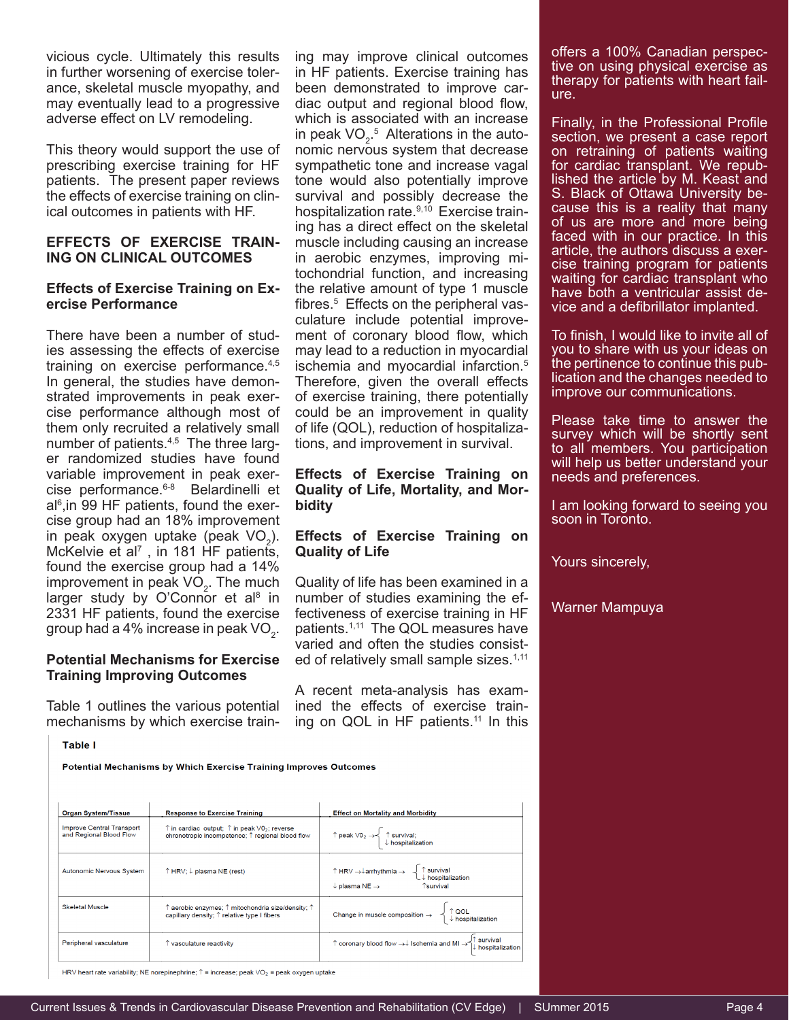vicious cycle. Ultimately this results in further worsening of exercise tolerance, skeletal muscle myopathy, and may eventually lead to a progressive adverse effect on LV remodeling.

This theory would support the use of prescribing exercise training for HF patients. The present paper reviews the effects of exercise training on clinical outcomes in patients with HF.

#### **EFFECTS OF EXERCISE TRAIN-ING ON CLINICAL OUTCOMES**

#### **Effects of Exercise Training on Exercise Performance**

There have been a number of studies assessing the effects of exercise training on exercise performance.<sup>4,5</sup> In general, the studies have demonstrated improvements in peak exercise performance although most of them only recruited a relatively small number of patients.<sup>4,5</sup> The three larger randomized studies have found variable improvement in peak exercise performance.6-8 Belardinelli et al<sup>6</sup>,in 99 HF patients, found the exercise group had an 18% improvement in peak oxygen uptake (peak  $VO<sub>2</sub>$ ). McKelvie et al<sup>7</sup>, in 181 HF patients, found the exercise group had a 14% improvement in peak  $VO<sub>2</sub>$ . The much larger study by O'Connor et al<sup>8</sup> in 2331 HF patients, found the exercise group had a 4% increase in peak VO $_{\textrm{\tiny{2}}}$ .

#### **Potential Mechanisms for Exercise Training Improving Outcomes**

Table 1 outlines the various potential mechanisms by which exercise training may improve clinical outcomes in HF patients. Exercise training has been demonstrated to improve cardiac output and regional blood flow, which is associated with an increase in peak VO<sub>2</sub>.<sup>5</sup> Alterations in the autonomic nervous system that decrease sympathetic tone and increase vagal tone would also potentially improve survival and possibly decrease the hospitalization rate.<sup>9,10</sup> Exercise training has a direct effect on the skeletal muscle including causing an increase in aerobic enzymes, improving mitochondrial function, and increasing the relative amount of type 1 muscle fibres.<sup>5</sup> Effects on the peripheral vasculature include potential improvement of coronary blood flow, which may lead to a reduction in myocardial ischemia and myocardial infarction.<sup>5</sup> Therefore, given the overall effects of exercise training, there potentially could be an improvement in quality of life (QOL), reduction of hospitalizations, and improvement in survival.

#### **Effects of Exercise Training on Quality of Life, Mortality, and Morbidity**

#### **Effects of Exercise Training on Quality of Life**

Quality of life has been examined in a number of studies examining the effectiveness of exercise training in HF patients.1,11 The QOL measures have varied and often the studies consisted of relatively small sample sizes.<sup>1,11</sup>

A recent meta-analysis has examined the effects of exercise training on QOL in HF patients.<sup>11</sup> In this offers a 100% Canadian perspective on using physical exercise as therapy for patients with heart failure.

Finally, in the Professional Profile section, we present a case report on retraining of patients waiting for cardiac transplant. We repub-<br>lished the article by M. Keast and<br>S. Black of Ottawa University because this is a reality that many of us are more and more being faced with in our practice. In this article, the authors discuss a exer- cise training program for patients waiting for cardiac transplant who have both a ventricular assist de- vice and a defibrillator implanted.

To finish, I would like to invite all of you to share with us your ideas on<br>the pertinence to continue this publication and the changes needed to improve our communications.

Please take time to answer the survey which will be shortly sent to all members. You participation will help us better understand your needs and preferences.

I am looking forward to seeing you soon in Toronto.

Yours sincerely,

Warner Mampuya

**Table I** 

Potential Mechanisms by Which Exercise Training Improves Outcomes

| <b>Organ System/Tissue</b>                           | <b>Response to Exercise Training</b>                                                                                                 | <b>Effect on Mortality and Morbidity</b>                                                                                                                     |
|------------------------------------------------------|--------------------------------------------------------------------------------------------------------------------------------------|--------------------------------------------------------------------------------------------------------------------------------------------------------------|
| Improve Central Transport<br>and Regional Blood Flow | $\uparrow$ in cardiac output; $\uparrow$ in peak $\vee$ 0 <sub>2</sub> ; reverse<br>chronotropic incompetence; ↑ regional blood flow | ↑ peak V0 <sub>2</sub> → $\left\{\begin{array}{l} \uparrow$ survival;<br>↓ hospitalization                                                                   |
| Autonomic Nervous System                             | ↑ HRV; ↓ plasma NE (rest)                                                                                                            | ↑ HRV → ↓ arrhythmia → $\left\{\uparrow \text{survival}\atop \downarrow \text{~hospitalization}\right\}$<br>$\downarrow$ plasma NE $\rightarrow$ 1 Tsurvival |
| Skeletal Muscle                                      | $\uparrow$ aerobic enzymes: $\uparrow$ mitochondria size/density: $\uparrow$<br>capillary density; $\uparrow$ relative type I fibers | Change in muscle composition $\rightarrow \left\{\begin{array}{c} \uparrow QOL \\ \downarrow$ hospitalization                                                |
| Peripheral vasculature                               | T vasculature reactivity                                                                                                             | ↑ coronary blood flow $\rightarrow \downarrow$ Ischemia and MI $\rightarrow \uparrow$ survival<br>↓ hospitalization                                          |

HRV heart rate variability; NE norepinephrine;  $\hat{\Gamma}$  = increase; peak VO<sub>2</sub> = peak oxygen uptake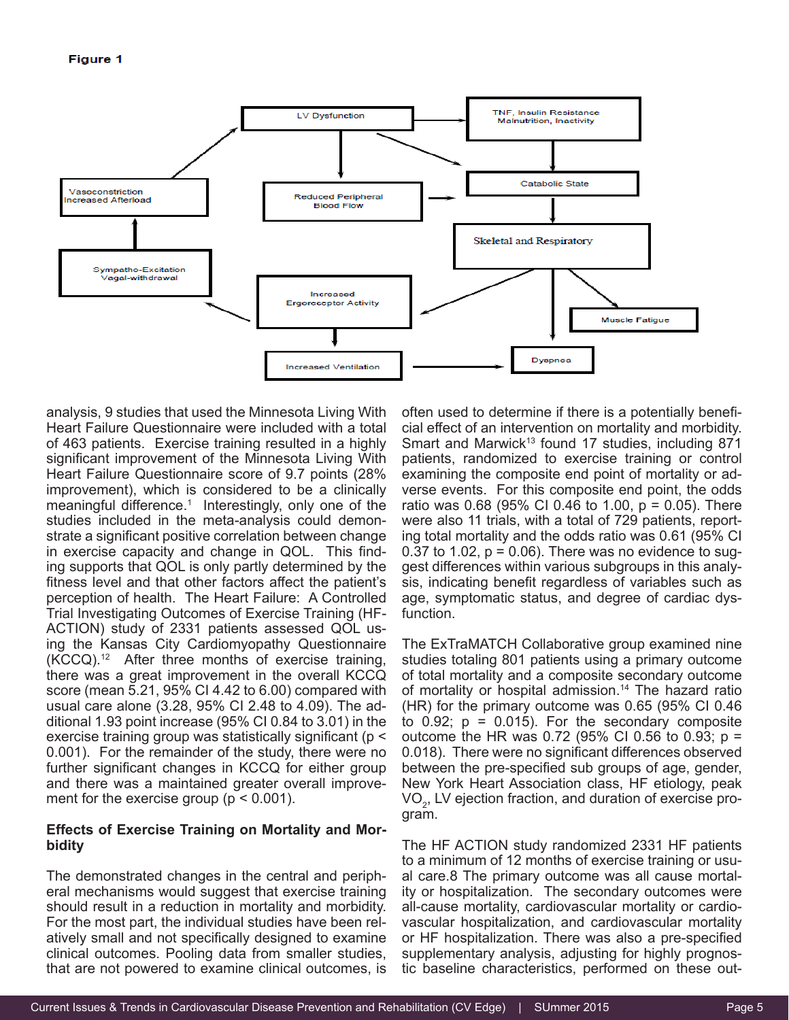

analysis, 9 studies that used the Minnesota Living With Heart Failure Questionnaire were included with a total of 463 patients. Exercise training resulted in a highly significant improvement of the Minnesota Living With Heart Failure Questionnaire score of 9.7 points (28% improvement), which is considered to be a clinically meaningful difference.<sup>1</sup> Interestingly, only one of the studies included in the meta-analysis could demonstrate a significant positive correlation between change in exercise capacity and change in QOL. This finding supports that QOL is only partly determined by the fitness level and that other factors affect the patient's perception of health. The Heart Failure: A Controlled Trial Investigating Outcomes of Exercise Training (HF-ACTION) study of 2331 patients assessed QOL using the Kansas City Cardiomyopathy Questionnaire  $(KCCQ).<sup>12</sup>$  After three months of exercise training, there was a great improvement in the overall KCCQ score (mean 5.21, 95% CI 4.42 to 6.00) compared with usual care alone (3.28, 95% CI 2.48 to 4.09). The additional 1.93 point increase (95% CI 0.84 to 3.01) in the exercise training group was statistically significant (p < 0.001). For the remainder of the study, there were no further significant changes in KCCQ for either group and there was a maintained greater overall improvement for the exercise group ( $p < 0.001$ ).

#### **Effects of Exercise Training on Mortality and Morbidity**

The demonstrated changes in the central and peripheral mechanisms would suggest that exercise training should result in a reduction in mortality and morbidity. For the most part, the individual studies have been relatively small and not specifically designed to examine clinical outcomes. Pooling data from smaller studies, that are not powered to examine clinical outcomes, is

often used to determine if there is a potentially beneficial effect of an intervention on mortality and morbidity. Smart and Marwick<sup>13</sup> found 17 studies, including 871 patients, randomized to exercise training or control examining the composite end point of mortality or adverse events. For this composite end point, the odds ratio was 0.68 (95% CI 0.46 to 1.00, p = 0.05). There were also 11 trials, with a total of 729 patients, reporting total mortality and the odds ratio was 0.61 (95% CI 0.37 to 1.02,  $p = 0.06$ ). There was no evidence to suggest differences within various subgroups in this analysis, indicating benefit regardless of variables such as age, symptomatic status, and degree of cardiac dysfunction.

The ExTraMATCH Collaborative group examined nine studies totaling 801 patients using a primary outcome of total mortality and a composite secondary outcome of mortality or hospital admission.<sup>14</sup> The hazard ratio (HR) for the primary outcome was 0.65 (95% CI 0.46 to  $0.92$ ;  $p = 0.015$ ). For the secondary composite outcome the HR was 0.72 (95% CI 0.56 to 0.93;  $p =$ 0.018). There were no significant differences observed between the pre-specified sub groups of age, gender, New York Heart Association class, HF etiology, peak VO $_{\rm 2}$ , LV ejection fraction, and duration of exercise program.

The HF ACTION study randomized 2331 HF patients to a minimum of 12 months of exercise training or usual care.8 The primary outcome was all cause mortality or hospitalization. The secondary outcomes were all-cause mortality, cardiovascular mortality or cardiovascular hospitalization, and cardiovascular mortality or HF hospitalization. There was also a pre-specified supplementary analysis, adjusting for highly prognostic baseline characteristics, performed on these out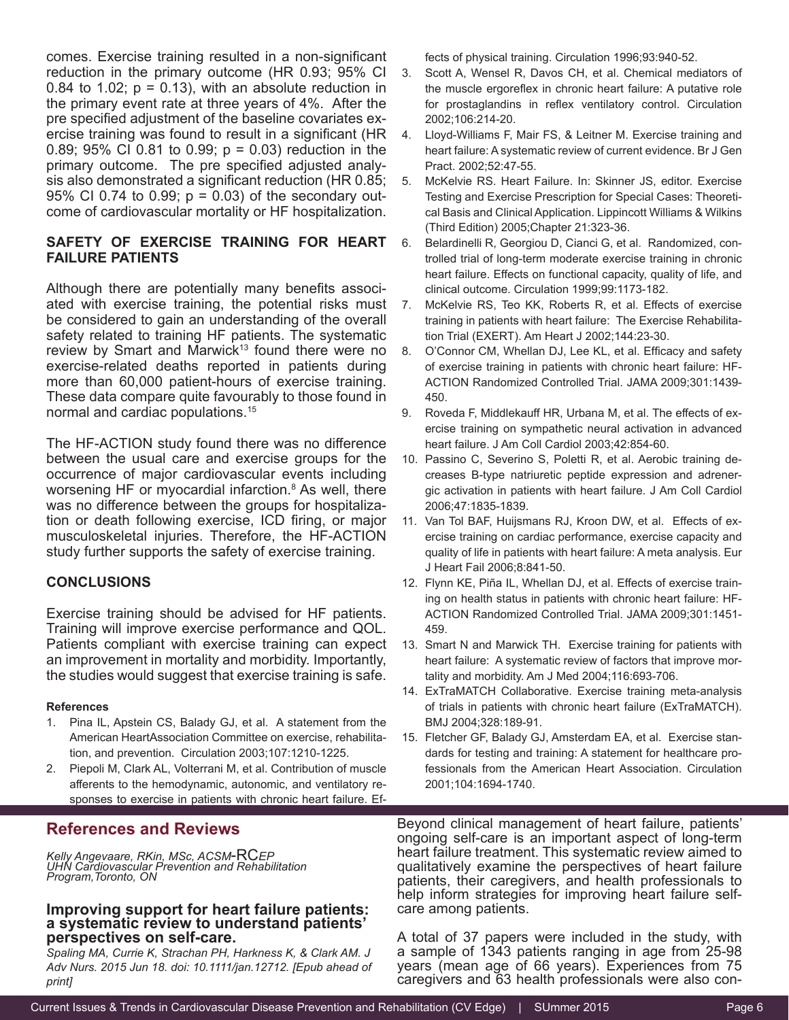comes. Exercise training resulted in a non-significant reduction in the primary outcome (HR 0.93; 95% CI 0.84 to 1.02;  $p = 0.13$ ), with an absolute reduction in the primary event rate at three years of 4%. After the pre specified adjustment of the baseline covariates exercise training was found to result in a significant (HR 0.89; 95% CI 0.81 to 0.99; p = 0.03) reduction in the primary outcome. The pre specified adjusted analysis also demonstrated a significant reduction (HR 0.85; 95% CI 0.74 to 0.99; p = 0.03) of the secondary outcome of cardiovascular mortality or HF hospitalization.

#### **SAFETY OF EXERCISE TRAINING FOR HEART FAILURE PATIENTS**

Although there are potentially many benefits associated with exercise training, the potential risks must be considered to gain an understanding of the overall safety related to training HF patients. The systematic review by Smart and Marwick<sup>13</sup> found there were no exercise-related deaths reported in patients during more than 60,000 patient-hours of exercise training. These data compare quite favourably to those found in normal and cardiac populations.15

The HF-ACTION study found there was no difference between the usual care and exercise groups for the occurrence of major cardiovascular events including worsening HF or myocardial infarction.<sup>8</sup> As well, there was no difference between the groups for hospitalization or death following exercise, ICD firing, or major musculoskeletal injuries. Therefore, the HF-ACTION study further supports the safety of exercise training.

#### **CONCLUSIONS**

Exercise training should be advised for HF patients. Training will improve exercise performance and QOL. Patients compliant with exercise training can expect an improvement in mortality and morbidity. Importantly, the studies would suggest that exercise training is safe.

#### **References**

- 1. Pina IL, Apstein CS, Balady GJ, et al. A statement from the American HeartAssociation Committee on exercise, rehabilitation, and prevention. Circulation 2003;107:1210-1225.
- 2. Piepoli M, Clark AL, Volterrani M, et al. Contribution of muscle afferents to the hemodynamic, autonomic, and ventilatory responses to exercise in patients with chronic heart failure. Ef-

#### **References and Reviews**

 *Kelly Angevaare, RKin, MSc, ACSM*-RC*EP UHN Cardiovascular Prevention and Rehabilitation Program,Toronto, ON*

#### **Improving support for heart failure patients: a systematic review to understand patients' perspectives on self-care.**

*Spaling MA, Currie K, Strachan PH, Harkness K, & Clark AM. J Adv Nurs. 2015 Jun 18. doi: 10.1111/jan.12712. [Epub ahead of print]*

fects of physical training. Circulation 1996;93:940-52.

- 3. Scott A, Wensel R, Davos CH, et al. Chemical mediators of the muscle ergoreflex in chronic heart failure: A putative role for prostaglandins in reflex ventilatory control. Circulation 2002;106:214-20.
- 4. Lloyd-Williams F, Mair FS, & Leitner M. Exercise training and heart failure: A systematic review of current evidence. Br J Gen Pract. 2002;52:47-55.
- 5. McKelvie RS. Heart Failure. In: Skinner JS, editor. Exercise Testing and Exercise Prescription for Special Cases: Theoretical Basis and Clinical Application. Lippincott Williams & Wilkins (Third Edition) 2005;Chapter 21:323-36.
- 6. Belardinelli R, Georgiou D, Cianci G, et al. Randomized, controlled trial of long-term moderate exercise training in chronic heart failure. Effects on functional capacity, quality of life, and clinical outcome. Circulation 1999;99:1173-182.
- 7. McKelvie RS, Teo KK, Roberts R, et al. Effects of exercise training in patients with heart failure: The Exercise Rehabilitation Trial (EXERT). Am Heart J 2002;144:23-30.
- 8. O'Connor CM, Whellan DJ, Lee KL, et al. Efficacy and safety of exercise training in patients with chronic heart failure: HF-ACTION Randomized Controlled Trial. JAMA 2009;301:1439- 450.
- 9. Roveda F, Middlekauff HR, Urbana M, et al. The effects of exercise training on sympathetic neural activation in advanced heart failure. J Am Coll Cardiol 2003;42:854-60.
- 10. Passino C, Severino S, Poletti R, et al. Aerobic training decreases B-type natriuretic peptide expression and adrenergic activation in patients with heart failure. J Am Coll Cardiol 2006;47:1835-1839.
- 11. Van Tol BAF, Huijsmans RJ, Kroon DW, et al. Effects of exercise training on cardiac performance, exercise capacity and quality of life in patients with heart failure: A meta analysis. Eur J Heart Fail 2006;8:841-50.
- 12. Flynn KE, Piña IL, Whellan DJ, et al. Effects of exercise training on health status in patients with chronic heart failure: HF-ACTION Randomized Controlled Trial. JAMA 2009;301:1451- 459.
- 13. Smart N and Marwick TH. Exercise training for patients with heart failure: A systematic review of factors that improve mortality and morbidity. Am J Med 2004;116:693-706.
- 14. ExTraMATCH Collaborative. Exercise training meta-analysis of trials in patients with chronic heart failure (ExTraMATCH). BMJ 2004;328:189-91.
- 15. Fletcher GF, Balady GJ, Amsterdam EA, et al. Exercise standards for testing and training: A statement for healthcare professionals from the American Heart Association. Circulation 2001;104:1694-1740.

Beyond clinical management of heart failure, patients' ongoing self-care is an important aspect of long-term heart failure treatment. This systematic review aimed to qualitatively examine the perspectives of heart failure patients, their caregivers, and health professionals to help inform strategies for improving heart failure selfcare among patients.

A total of 37 papers were included in the study, with a sample of 1343 patients ranging in age from 25-98 years (mean age of 66 years). Experiences from 75 caregivers and 63 health professionals were also con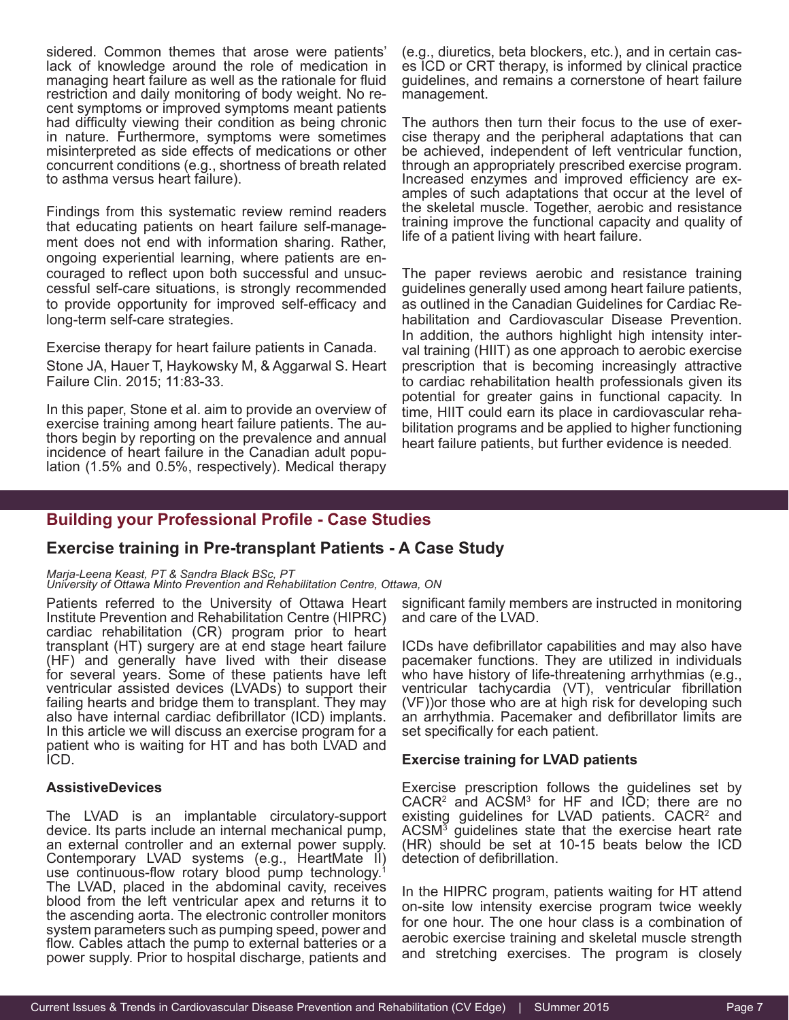sidered. Common themes that arose were patients' lack of knowledge around the role of medication in managing heart failure as well as the rationale for fluid restriction and daily monitoring of body weight. No re- cent symptoms or improved symptoms meant patients had difficulty viewing their condition as being chronic in nature. Furthermore, symptoms were sometimes misinterpreted as side effects of medications or other concurrent conditions (e.g., shortness of breath related to asthma versus heart failure).

Findings from this systematic review remind readers that educating patients on heart failure self-management does not end with information sharing. Rather, ongoing experiential learning, where patients are encouraged to reflect upon both successful and unsuccessful self-care situations, is strongly recommended to provide opportunity for improved self-efficacy and long-term self-care strategies.

Exercise therapy for heart failure patients in Canada. Stone JA, Hauer T, Haykowsky M, & Aggarwal S. Heart Failure Clin. 2015; 11:83-33.

In this paper, Stone et al. aim to provide an overview of exercise training among heart failure patients. The authors begin by reporting on the prevalence and annual incidence of heart failure in the Canadian adult population (1.5% and 0.5%, respectively). Medical therapy

(e.g., diuretics, beta blockers, etc.), and in certain cases ICD or CRT therapy, is informed by clinical practice guidelines, and remains a cornerstone of heart failure management.

The authors then turn their focus to the use of exer- cise therapy and the peripheral adaptations that can be achieved, independent of left ventricular function, through an appropriately prescribed exercise program. Increased enzymes and improved efficiency are ex- amples of such adaptations that occur at the level of the skeletal muscle. Together, aerobic and resistance training improve the functional capacity and quality of life of a patient living with heart failure.

The paper reviews aerobic and resistance training guidelines generally used among heart failure patients, as outlined in the Canadian Guidelines for Cardiac Rehabilitation and Cardiovascular Disease Prevention. In addition, the authors highlight high intensity interval training (HIIT) as one approach to aerobic exercise prescription that is becoming increasingly attractive to cardiac rehabilitation health professionals given its potential for greater gains in functional capacity. In time, HIIT could earn its place in cardiovascular rehabilitation programs and be applied to higher functioning heart failure patients, but further evidence is needed*.*

#### **Building your Professional Profile - Case Studies**

#### **Exercise training in Pre-transplant Patients - A Case Study**

#### *Marja-Leena Keast, PT & Sandra Black BSc, PT*

*University of Ottawa Minto Prevention and Rehabilitation Centre, Ottawa, ON*

Patients referred to the University of Ottawa Heart Institute Prevention and Rehabilitation Centre (HIPRC) cardiac rehabilitation (CR) program prior to heart transplant (HT) surgery are at end stage heart failure (HF) and generally have lived with their disease for several years. Some of these patients have left ventricular assisted devices (LVADs) to support their failing hearts and bridge them to transplant. They may also have internal cardiac defibrillator (ICD) implants. In this article we will discuss an exercise program for a patient who is waiting for HT and has both LVAD and ICD.

#### **AssistiveDevices**

The LVAD is an implantable circulatory-support device. Its parts include an internal mechanical pump, an external controller and an external power supply. Contemporary LVAD systems (e.g., HeartMate II) use continuous-flow rotary blood pump technology.<sup>1</sup> The LVAD, placed in the abdominal cavity, receives blood from the left ventricular apex and returns it to the ascending aorta. The electronic controller monitors system parameters such as pumping speed, power and flow. Cables attach the pump to external batteries or a power supply. Prior to hospital discharge, patients and

significant family members are instructed in monitoring and care of the LVAD.

ICDs have defibrillator capabilities and may also have pacemaker functions. They are utilized in individuals who have history of life-threatening arrhythmias (e.g., ventricular tachycardia (VT), ventricular fibrillation (VF))or those who are at high risk for developing such an arrhythmia. Pacemaker and defibrillator limits are set specifically for each patient.

#### **Exercise training for LVAD patients**

Exercise prescription follows the guidelines set by  $CACR<sup>2</sup>$  and  $ACSM<sup>3</sup>$  for HF and ICD; there are no existing guidelines for LVAD patients. CACR<sup>2</sup> and ACSM<sup>3</sup> guidelines state that the exercise heart rate (HR) should be set at 10-15 beats below the ICD detection of defibrillation.

In the HIPRC program, patients waiting for HT attend on-site low intensity exercise program twice weekly for one hour. The one hour class is a combination of aerobic exercise training and skeletal muscle strength and stretching exercises. The program is closely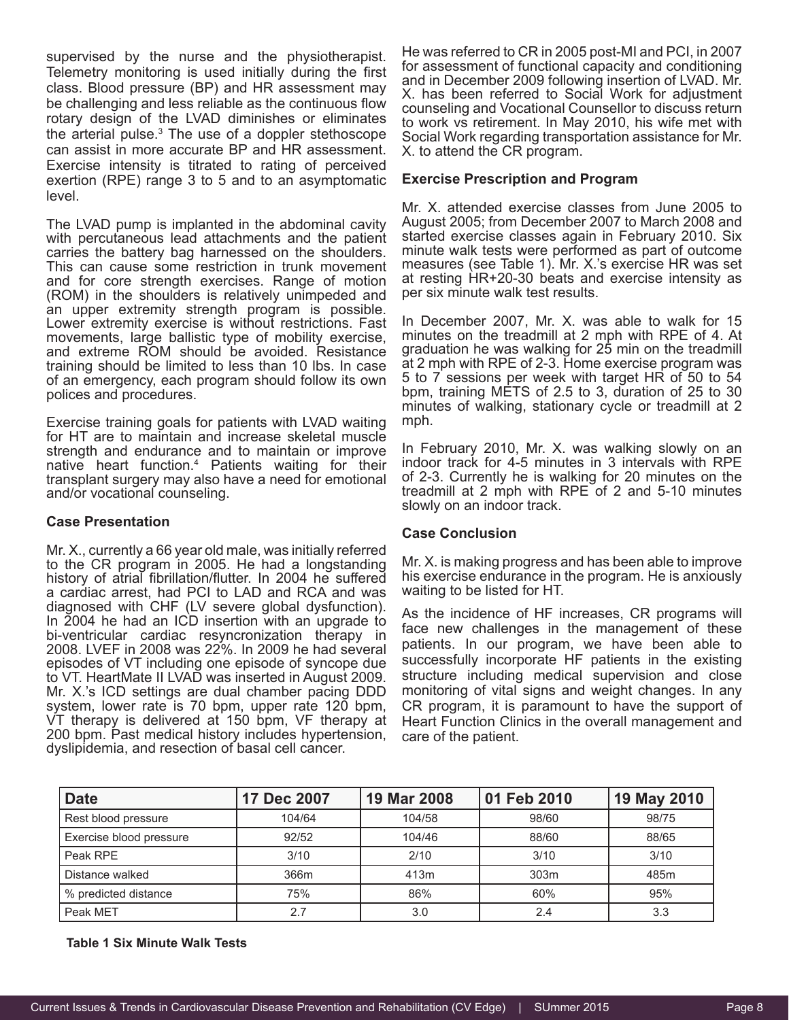supervised by the nurse and the physiotherapist. Telemetry monitoring is used initially during the first class. Blood pressure (BP) and HR assessment may be challenging and less reliable as the continuous flow rotary design of the LVAD diminishes or eliminates the arterial pulse.<sup>3</sup> The use of a doppler stethoscope can assist in more accurate BP and HR assessment. Exercise intensity is titrated to rating of perceived exertion (RPE) range 3 to 5 and to an asymptomatic level.

The LVAD pump is implanted in the abdominal cavity with percutaneous lead attachments and the patient carries the battery bag harnessed on the shoulders. This can cause some restriction in trunk movement and for core strength exercises. Range of motion (ROM) in the shoulders is relatively unimpeded and an upper extremity strength program is possible. Lower extremity exercise is without restrictions. Fast movements, large ballistic type of mobility exercise, and extreme ROM should be avoided. Resistance training should be limited to less than 10 lbs. In case of an emergency, each program should follow its own polices and procedures.

Exercise training goals for patients with LVAD waiting for HT are to maintain and increase skeletal muscle strength and endurance and to maintain or improve native heart function.4 Patients waiting for their transplant surgery may also have a need for emotional and/or vocational counseling.

#### **Case Presentation**

Mr. X., currently a 66 year old male, was initially referred to the CR program in 2005. He had a longstanding history of atrial fibrillation/flutter. In 2004 he suffered a cardiac arrest, had PCI to LAD and RCA and was diagnosed with CHF (LV severe global dysfunction). In 2004 he had an ICD insertion with an upgrade to bi-ventricular cardiac resyncronization therapy in 2008. LVEF in 2008 was 22%. In 2009 he had several episodes of VT including one episode of syncope due to VT. HeartMate II LVAD was inserted in August 2009. Mr. X.'s ICD settings are dual chamber pacing DDD system, lower rate is 70 bpm, upper rate 120 bpm, VT therapy is delivered at 150 bpm, VF therapy at 200 bpm. Past medical history includes hypertension, dyslipidemia, and resection of basal cell cancer.

He was referred to CR in 2005 post-MI and PCI, in 2007 for assessment of functional capacity and conditioning and in December 2009 following insertion of LVAD. Mr. X. has been referred to Social Work for adjustment counseling and Vocational Counsellor to discuss return to work vs retirement. In May 2010, his wife met with Social Work regarding transportation assistance for Mr. X. to attend the CR program.

#### **Exercise Prescription and Program**

Mr. X. attended exercise classes from June 2005 to August 2005; from December 2007 to March 2008 and started exercise classes again in February 2010. Six minute walk tests were performed as part of outcome measures (see Table 1). Mr. X.'s exercise HR was set at resting HR+20-30 beats and exercise intensity as per six minute walk test results.

In December 2007, Mr. X. was able to walk for 15 minutes on the treadmill at 2 mph with RPE of 4. At graduation he was walking for 25 min on the treadmill at 2 mph with RPE of 2-3. Home exercise program was 5 to 7 sessions per week with target HR of 50 to 54 bpm, training METS of 2.5 to 3, duration of 25 to 30 minutes of walking, stationary cycle or treadmill at 2 mph.

In February 2010, Mr. X. was walking slowly on an indoor track for 4-5 minutes in 3 intervals with RPE of 2-3. Currently he is walking for 20 minutes on the treadmill at 2 mph with RPE of 2 and 5-10 minutes slowly on an indoor track.

#### **Case Conclusion**

Mr. X. is making progress and has been able to improve his exercise endurance in the program. He is anxiously waiting to be listed for HT.

As the incidence of HF increases, CR programs will face new challenges in the management of these patients. In our program, we have been able to successfully incorporate HF patients in the existing structure including medical supervision and close monitoring of vital signs and weight changes. In any CR program, it is paramount to have the support of Heart Function Clinics in the overall management and care of the patient.

| <b>Date</b>             | 17 Dec 2007 | 19 Mar 2008 | 01 Feb 2010 | 19 May 2010 |
|-------------------------|-------------|-------------|-------------|-------------|
| Rest blood pressure     | 104/64      | 104/58      | 98/60       | 98/75       |
| Exercise blood pressure | 92/52       | 104/46      | 88/60       | 88/65       |
| Peak RPE                | 3/10        | 2/10        | 3/10        | 3/10        |
| Distance walked         | 366m        | 413m        | 303m        | 485m        |
| % predicted distance    | 75%         | 86%         | 60%         | 95%         |
| Peak MET                | 27          | 3.0         | 2.4         | 3.3         |

**Table 1 Six Minute Walk Tests**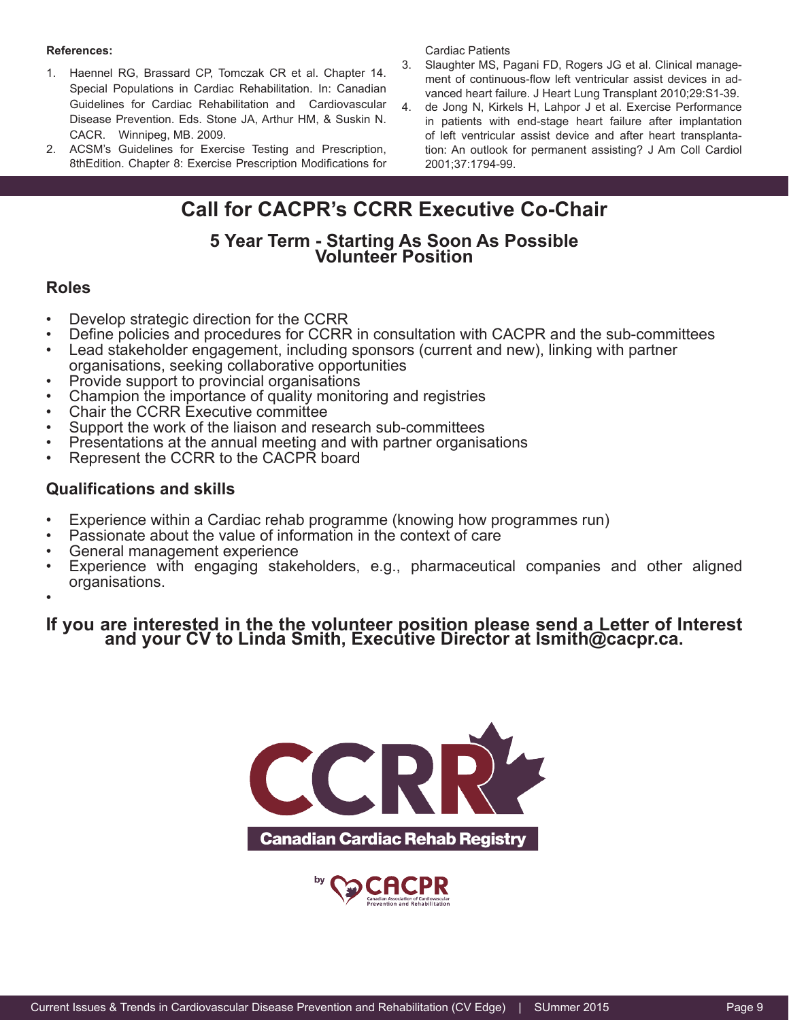#### **References:**

- 1. Haennel RG, Brassard CP, Tomczak CR et al. Chapter 14. Special Populations in Cardiac Rehabilitation. In: Canadian Guidelines for Cardiac Rehabilitation and Cardiovascular Disease Prevention. Eds. Stone JA, Arthur HM, & Suskin N. CACR. Winnipeg, MB. 2009.
- 2. ACSM's Guidelines for Exercise Testing and Prescription, 8thEdition. Chapter 8: Exercise Prescription Modifications for

Cardiac Patients

- 3. Slaughter MS, Pagani FD, Rogers JG et al. Clinical management of continuous-flow left ventricular assist devices in advanced heart failure. J Heart Lung Transplant 2010;29:S1-39.
- 4. de Jong N, Kirkels H, Lahpor J et al. Exercise Performance in patients with end-stage heart failure after implantation of left ventricular assist device and after heart transplantation: An outlook for permanent assisting? J Am Coll Cardiol 2001;37:1794-99.

## **Call for CACPR's CCRR Executive Co-Chair**

# **5 Year Term - Starting As Soon As Possible Volunteer Position**

#### **Roles**

- Develop strategic direction for the CCRR
- Define policies and procedures for CCRR in consultation with CACPR and the sub-committees
- Lead stakeholder engagement, including sponsors (current and new), linking with partner organisations, seeking collaborative opportunities
- Provide support to provincial organisations
- Champion the importance of quality monitoring and registries
- Chair the CCRR Executive committee
- Support the work of the liaison and research sub-committees
- Presentations at the annual meeting and with partner organisations
- Represent the CCRR to the CACPR board

#### **Qualifications and skills**

- Experience within a Cardiac rehab programme (knowing how programmes run)
- Passionate about the value of information in the context of care
- General management experience
- Experience with engaging stakeholders, e.g., pharmaceutical companies and other aligned organisations.
- •

# **If you are interested in the the volunteer position please send a Letter of Interest and your CV to Linda Smith, Executive Director at lsmith@cacpr.ca.**